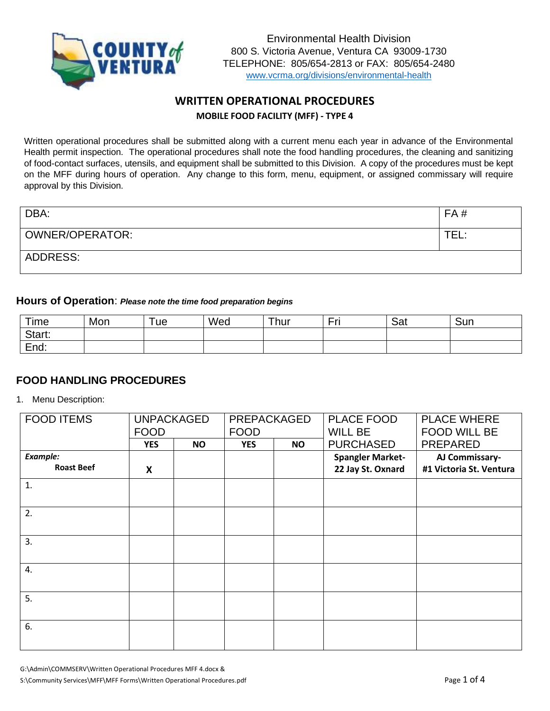

# **WRITTEN OPERATIONAL PROCEDURES MOBILE FOOD FACILITY (MFF) - TYPE 4**

Written operational procedures shall be submitted along with a current menu each year in advance of the Environmental Health permit inspection. The operational procedures shall note the food handling procedures, the cleaning and sanitizing of food-contact surfaces, utensils, and equipment shall be submitted to this Division. A copy of the procedures must be kept on the MFF during hours of operation. Any change to this form, menu, equipment, or assigned commissary will require approval by this Division.

| DBA:            | FA#  |
|-----------------|------|
| OWNER/OPERATOR: | TEL. |
| ADDRESS:        |      |

#### **Hours of Operation**: *Please note the time food preparation begins*

| Time   | Mon | 'ue | Wed | Thur | - -<br>- 50<br>- | Sat | Sun |
|--------|-----|-----|-----|------|------------------|-----|-----|
| Start: |     |     |     |      |                  |     |     |
| End:   |     |     |     |      |                  |     |     |

### **FOOD HANDLING PROCEDURES**

1. Menu Description:

| <b>FOOD ITEMS</b> | <b>UNPACKAGED</b><br><b>FOOD</b> |  | PREPACKAGED<br><b>FOOD</b> |           | PLACE FOOD<br><b>WILL BE</b> | <b>PLACE WHERE</b><br><b>FOOD WILL BE</b> |
|-------------------|----------------------------------|--|----------------------------|-----------|------------------------------|-------------------------------------------|
|                   | <b>YES</b><br><b>NO</b>          |  | <b>YES</b>                 | <b>NO</b> | <b>PURCHASED</b>             | <b>PREPARED</b>                           |
| <b>Example:</b>   |                                  |  |                            |           | <b>Spangler Market-</b>      | AJ Commissary-                            |
| <b>Roast Beef</b> | X                                |  |                            |           | 22 Jay St. Oxnard            | #1 Victoria St. Ventura                   |
| 1.                |                                  |  |                            |           |                              |                                           |
| 2.                |                                  |  |                            |           |                              |                                           |
| 3.                |                                  |  |                            |           |                              |                                           |
| 4.                |                                  |  |                            |           |                              |                                           |
| 5.                |                                  |  |                            |           |                              |                                           |
| 6.                |                                  |  |                            |           |                              |                                           |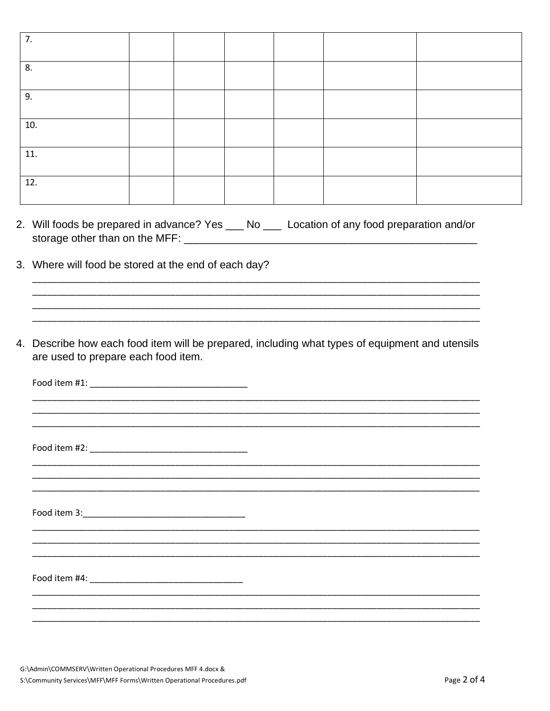| 7.  |  |  |  |
|-----|--|--|--|
| 8.  |  |  |  |
| 9.  |  |  |  |
| 10. |  |  |  |
| 11. |  |  |  |
| 12. |  |  |  |

- 2. Will foods be prepared in advance? Yes \_\_ No \_\_ Location of any food preparation and/or storage other than on the MFF: \_\_\_\_\_\_\_\_\_\_\_\_\_\_\_\_\_
- 3. Where will food be stored at the end of each day?
- 4. Describe how each food item will be prepared, including what types of equipment and utensils are used to prepare each food item.

Food item #4: The state of the state of the state of the state of the state of the state of the state of the state of the state of the state of the state of the state of the state of the state of the state of the state of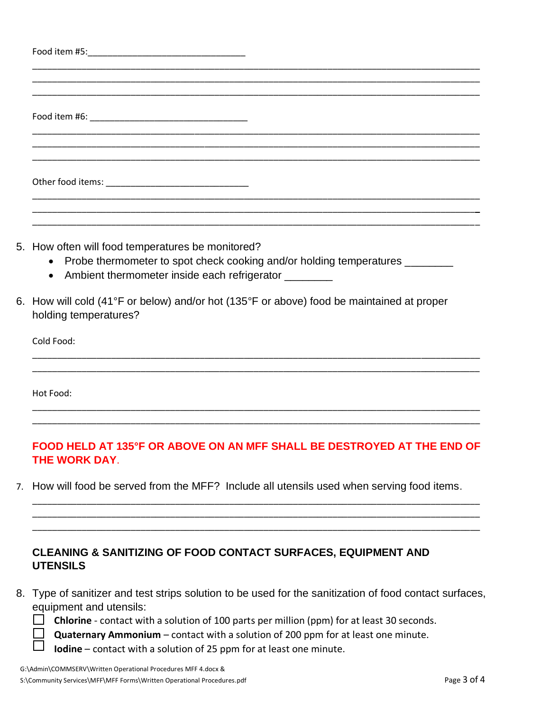| 5. How often will food temperatures be monitored?<br>• Probe thermometer to spot check cooking and/or holding temperatures ________<br>• Ambient thermometer inside each refrigerator ________ |
|------------------------------------------------------------------------------------------------------------------------------------------------------------------------------------------------|
| 6. How will cold (41°F or below) and/or hot (135°F or above) food be maintained at proper<br>holding temperatures?                                                                             |
| Cold Food:                                                                                                                                                                                     |
| Hot Food:                                                                                                                                                                                      |
| FOOD HELD AT 135°F OR ABOVE ON AN MFF SHALL BE DESTROYED AT THE END OF                                                                                                                         |

7. How will food be served from the MFF? Include all utensils used when serving food items.

\_\_\_\_\_\_\_\_\_\_\_\_\_\_\_\_\_\_\_\_\_\_\_\_\_\_\_\_\_\_\_\_\_\_\_\_\_\_\_\_\_\_\_\_\_\_\_\_\_\_\_\_\_\_\_\_\_\_\_\_\_\_\_\_\_\_\_\_\_\_\_\_\_\_\_\_\_\_\_\_\_\_\_\_\_\_\_\_\_\_\_ \_\_\_\_\_\_\_\_\_\_\_\_\_\_\_\_\_\_\_\_\_\_\_\_\_\_\_\_\_\_\_\_\_\_\_\_\_\_\_\_\_\_\_\_\_\_\_\_\_\_\_\_\_\_\_\_\_\_\_\_\_\_\_\_\_\_\_\_\_\_\_\_\_\_\_\_\_\_\_\_\_\_\_\_\_\_\_\_\_\_\_ \_\_\_\_\_\_\_\_\_\_\_\_\_\_\_\_\_\_\_\_\_\_\_\_\_\_\_\_\_\_\_\_\_\_\_\_\_\_\_\_\_\_\_\_\_\_\_\_\_\_\_\_\_\_\_\_\_\_\_\_\_\_\_\_\_\_\_\_\_\_\_\_\_\_\_\_\_\_\_\_\_\_\_\_\_\_\_\_\_\_\_

# **CLEANING & SANITIZING OF FOOD CONTACT SURFACES, EQUIPMENT AND UTENSILS**

- 8. Type of sanitizer and test strips solution to be used for the sanitization of food contact surfaces, equipment and utensils:
	- **Chlorine** contact with a solution of 100 parts per million (ppm) for at least 30 seconds.
	- **Quaternary Ammonium** contact with a solution of 200 ppm for at least one minute.<br> **Quaternary Ammonium** contact with a solution of 25 npm for at least one minute
		- **Iodine** contact with a solution of 25 ppm for at least one minute.